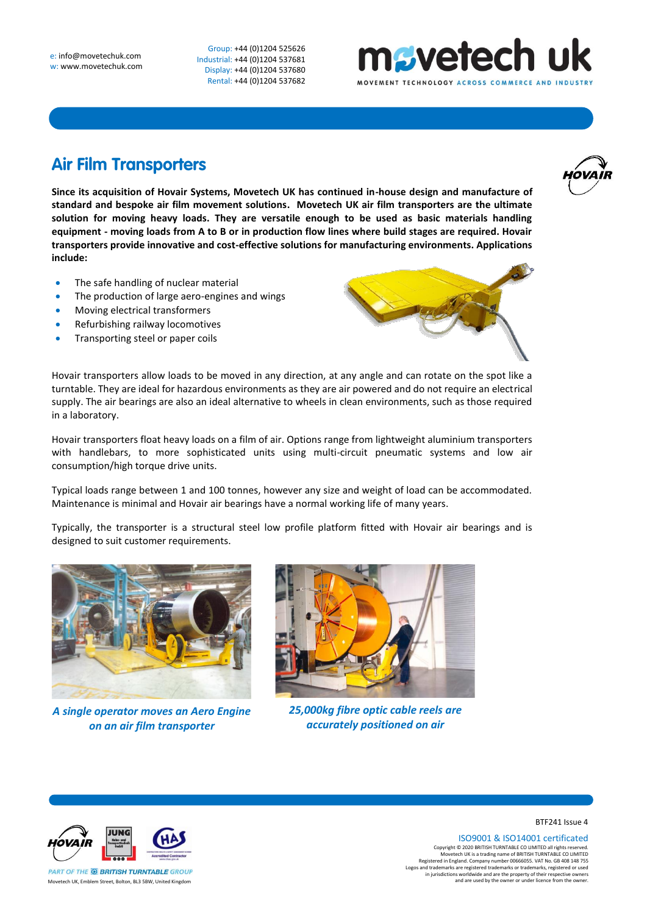Group: +44 (0)1204 525626 Industrial: +44 (0)1204 537681 Display: +44 (0)1204 537680 Rental: +44 (0)1204 537682

## nsvetech uk **VEMENT TECHNOLOGY ACROSS**

## **Air Film Transporters**

**Since its acquisition of Hovair Systems, Movetech UK has continued in-house design and manufacture of standard and bespoke air film movement solutions. Movetech UK air film transporters are the ultimate solution for moving heavy loads. They are versatile enough to be used as basic materials handling equipment - moving loads from A to B or in production flow lines where build stages are required. Hovair transporters provide innovative and cost-effective solutions for manufacturing environments. Applications include:** 

- The safe handling of nuclear material
- The production of large aero-engines and wings
- Moving electrical transformers
- Refurbishing railway locomotives
- Transporting steel or paper coils



Hovair transporters allow loads to be moved in any direction, at any angle and can rotate on the spot like a turntable. They are ideal for hazardous environments as they are air powered and do not require an electrical supply. The air bearings are also an ideal alternative to wheels in clean environments, such as those required in a laboratory.

Hovair transporters float heavy loads on a film of air. Options range from lightweight aluminium transporters with handlebars, to more sophisticated units using multi-circuit pneumatic systems and low air consumption/high torque drive units.

Typical loads range between 1 and 100 tonnes, however any size and weight of load can be accommodated. Maintenance is minimal and Hovair air bearings have a normal working life of many years.

Typically, the transporter is a structural steel low profile platform fitted with Hovair air bearings and is designed to suit customer requirements.



*A single operator moves an Aero Engine on an air film transporter*



*25,000kg fibre optic cable reels are accurately positioned on air*



BTF241 Issue 4

ISO9001 & ISO14001 certificated Copyright © 2020 BRITISH TURNTABLE CO LIMITED all rights reserved.<br>Movetech UK is a trading name of BRITISH TURNTABLE CO LIMITED<br>Registered in England. Company number 00666055. VAT No. GB 408 148 755<br>Logos and trademarks a